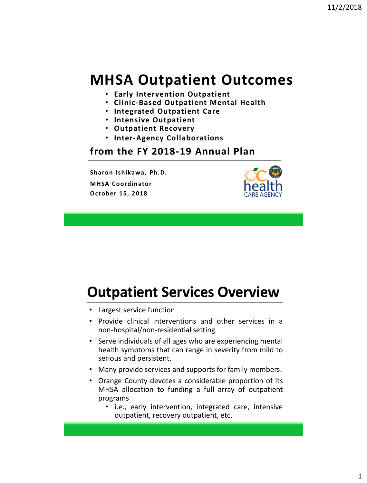#### **MHSA Outpatient Outcomes**

- **Early Intervention Outpatient**
- **Clinic-Based Outpatient Mental Health**
- **Integrated Outpatient Care**
- **Intensive Outpatient**
- **Outpatient Recovery**
- **Inter-Agency Collaborations**

#### **from the FY 2018-19 Annual Plan**

**Sharon Ishikawa, Ph.D. MHSA Coordinator October 15, 2018**



#### **Outpatient Services Overview**

- Largest service function
- Provide clinical interventions and other services in a non-hospital/non-residential setting
- Serve individuals of all ages who are experiencing mental health symptoms that can range in severity from mild to serious and persistent.
- Many provide services and supports for family members.
- Orange County devotes a considerable proportion of its MHSA allocation to funding a full array of outpatient programs
	- i.e., early intervention, integrated care, intensive outpatient, recovery outpatient, etc.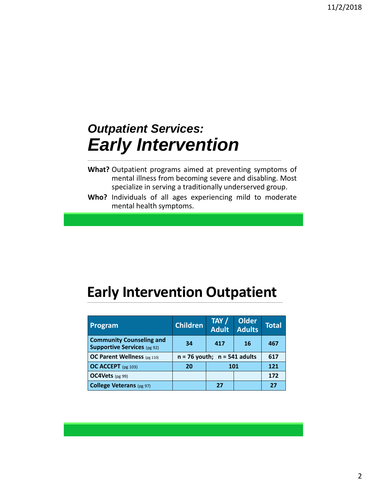# *Outpatient Services: Early Intervention*

- **What?** Outpatient programs aimed at preventing symptoms of mental illness from becoming severe and disabling. Most specialize in serving a traditionally underserved group.
- **Who?** Individuals of all ages experiencing mild to moderate mental health symptoms.

#### **Early Intervention Outpatient**

| Program                                                               | <b>Children</b>                  | TAY /<br><b>Adult</b> | <b>Older</b><br><b>Adults</b> | Total |
|-----------------------------------------------------------------------|----------------------------------|-----------------------|-------------------------------|-------|
| <b>Community Counseling and</b><br><b>Supportive Services</b> (pg 92) | 34                               | 417                   | 16                            | 467   |
| OC Parent Wellness (pg 110)                                           | $n = 76$ youth; $n = 541$ adults |                       |                               | 617   |
| OC ACCEPT (pg 103)                                                    | 101<br>20                        |                       |                               | 121   |
| OC4Vets (pg 99)                                                       |                                  |                       |                               | 172   |
| College Veterans (pg 97)                                              |                                  | 27                    |                               | 27    |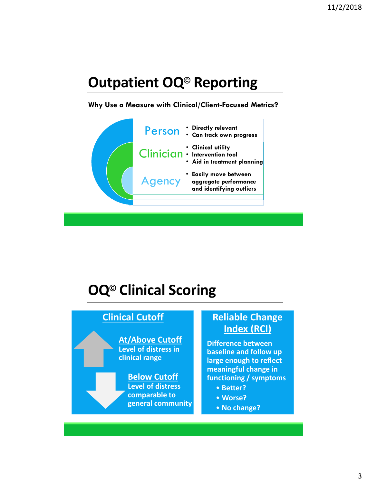### **Outpatient OQ© Reporting**

#### **Why Use a Measure with Clinical/Client-Focused Metrics?**



### **OQ© Clinical Scoring**

#### **Clinical Cutoff**

**At/Above Cutoff Level of distress in clinical range**

#### **Below Cutoff Level of distress comparable to general community**

#### **Reliable Change Index (RCI)**

**Difference between baseline and follow up large enough to reflect meaningful change in functioning / symptoms**

- **Better?**
- **Worse?**
- **No change?**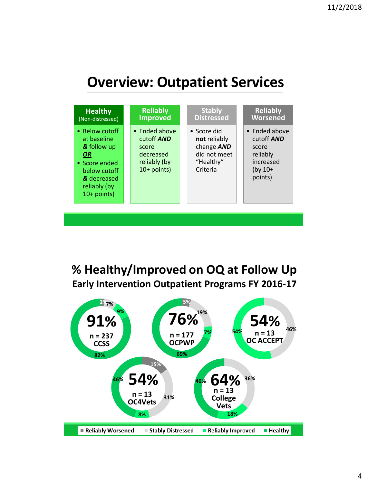#### **Overview: Outpatient Services**



**% Healthy/Improved on OQ at Follow Up Early Intervention Outpatient Programs FY 2016-17**

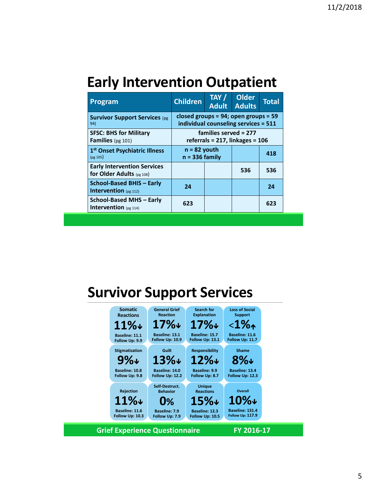#### **Early Intervention Outpatient**

| Program                                                           | <b>Children</b>                                                                   | TAY /<br><b>Adult</b> | <b>Older</b><br><b>Adults</b> | <b>Total</b> |
|-------------------------------------------------------------------|-----------------------------------------------------------------------------------|-----------------------|-------------------------------|--------------|
| <b>Survivor Support Services (pg</b><br>94)                       | closed groups = $94$ ; open groups = $59$<br>individual counseling services = 511 |                       |                               |              |
| <b>SFSC: BHS for Military</b><br><b>Families</b> (pg $101$ )      | families served = 277<br>referrals = $217$ , linkages = $106$                     |                       |                               |              |
| 1st Onset Psychiatric Illness<br>(pg 105)                         | $n = 82$ youth<br>$n = 336$ family                                                |                       |                               | 418          |
| <b>Early Intervention Services</b><br>for Older Adults $(pg 108)$ |                                                                                   |                       | 536                           | 536          |
| School-Based BHIS - Early<br><b>Intervention</b> (pg 112)         | 24                                                                                |                       |                               | 24           |
| School-Based MHS - Early<br>Intervention (pg 114)                 | 623                                                                               |                       |                               | 623          |

#### **Survivor Support Services**

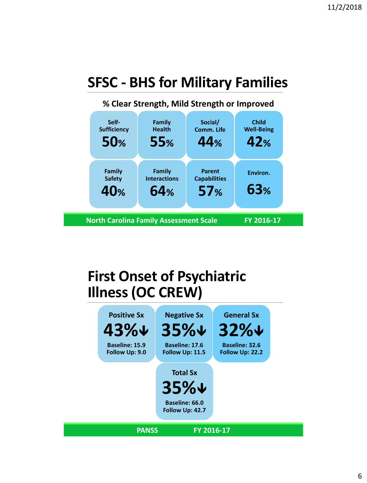# **SFSC - BHS for Military Families**



#### **First Onset of Psychiatric Illness (OC CREW)**

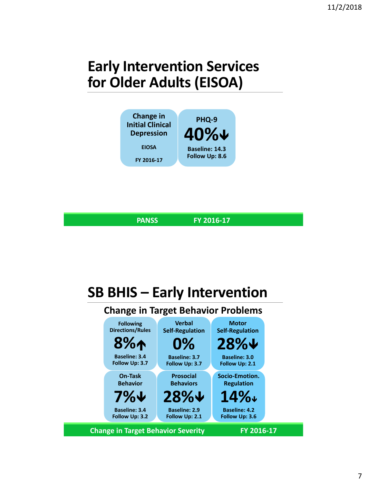# **Early Intervention Services for Older Adults (EISOA)**



**PANSS FY 2016-17**

# **SB BHIS – Early Intervention**

#### **Change in Target Behavior Problems**

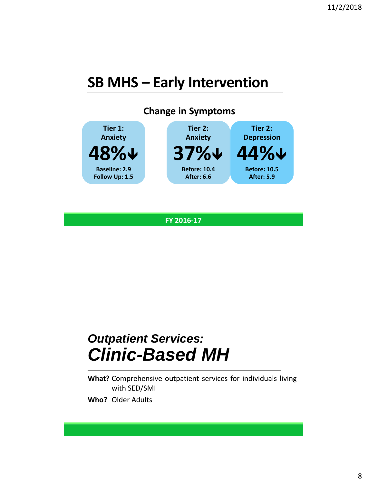#### **SB MHS – Early Intervention**



**FY 2016-17**

### *Outpatient Services: Clinic-Based MH*

**What?** Comprehensive outpatient services for individuals living with SED/SMI

**Who?** Older Adults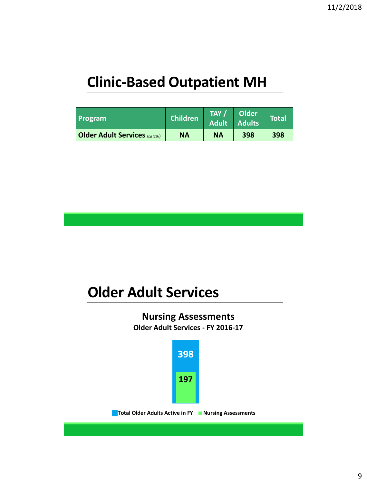## **Clinic-Based Outpatient MH**

| Program                              | <b>Children</b> | TAY /<br><b>Adult</b> | Older<br><b>Adults</b> | <b>Total</b> |
|--------------------------------------|-----------------|-----------------------|------------------------|--------------|
| <b>Older Adult Services</b> (pg 116) | <b>NA</b>       | <b>NA</b>             | 398                    | 398          |

#### **Older Adult Services**

#### **Nursing Assessments Older Adult Services - FY 2016-17**

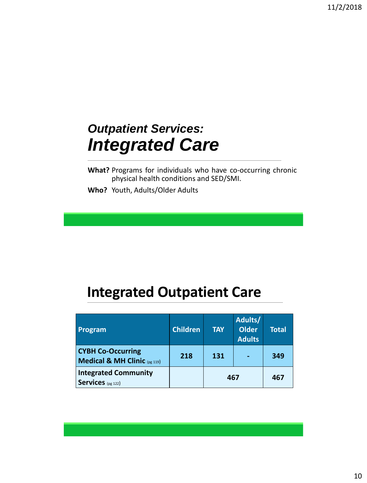# *Outpatient Services: Integrated Care*

**What?** Programs for individuals who have co-occurring chronic physical health conditions and SED/SMI.

**Who?** Youth, Adults/Older Adults

#### **Integrated Outpatient Care**

| Program                                                  | <b>Children</b> | <b>TAY</b> | Adults/<br><b>Older</b><br><b>Adults</b> | <b>Total</b> |
|----------------------------------------------------------|-----------------|------------|------------------------------------------|--------------|
| <b>CYBH Co-Occurring</b><br>Medical & MH Clinic (pg 119) | 218             | 131        |                                          | 349          |
| <b>Integrated Community</b><br><b>Services</b> (pg 122)  |                 | 467        |                                          | 467          |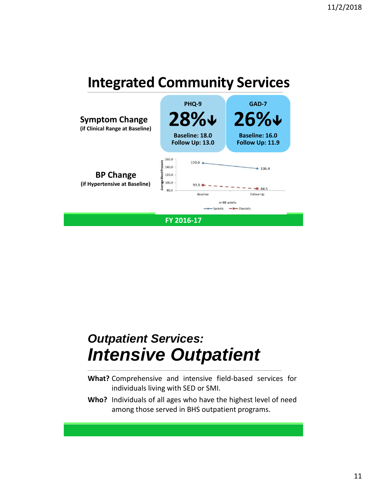### **Integrated Community Services**



## *Outpatient Services: Intensive Outpatient*

- **What?** Comprehensive and intensive field-based services for individuals living with SED or SMI.
- **Who?** Individuals of all ages who have the highest level of need among those served in BHS outpatient programs.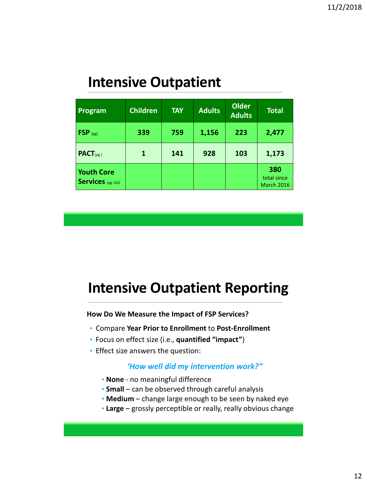#### **Intensive Outpatient**

| Program                                       | <b>Children</b> | <b>TAY</b> | <b>Adults</b> | <b>Older</b><br><b>Adults</b> | <b>Total</b>                            |
|-----------------------------------------------|-----------------|------------|---------------|-------------------------------|-----------------------------------------|
| $FSP$ <sub>(pg)</sub>                         | 339             | 759        | 1,156         | 223                           | 2,477                                   |
| $PACT_{(pg)}$                                 | 1               | 141        | 928           | 103                           | 1,173                                   |
| <b>Youth Core</b><br><b>Services</b> (pg 142) |                 |            |               |                               | 380<br>total since<br><b>March 2016</b> |

#### **Intensive Outpatient Reporting**

**How Do We Measure the Impact of FSP Services?**

- Compare **Year Prior to Enrollment** to **Post-Enrollment**
- Focus on effect size (i.e., **quantified "impact"**)
- Effect size answers the question:

#### *'How well did my intervention work?"*

- **None** no meaningful difference
- **Small** can be observed through careful analysis
- **Medium** change large enough to be seen by naked eye
- **Large** grossly perceptible or really, really obvious change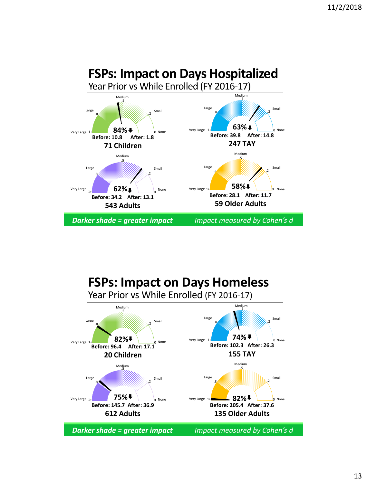

#### **FSPs: Impact on Days Homeless** Year Prior vs While Enrolled (FY 2016-17)

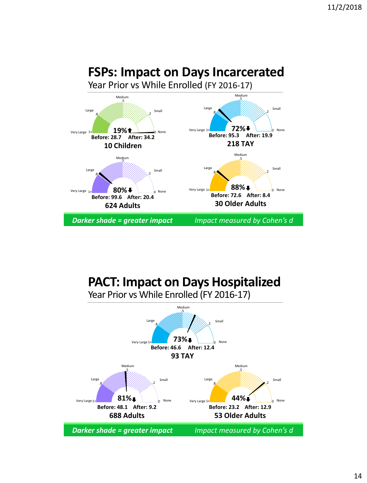#### **FSPs: Impact on Days Incarcerated**





#### **PACT: Impact on Days Hospitalized**



Year Prior vs While Enrolled (FY 2016-17)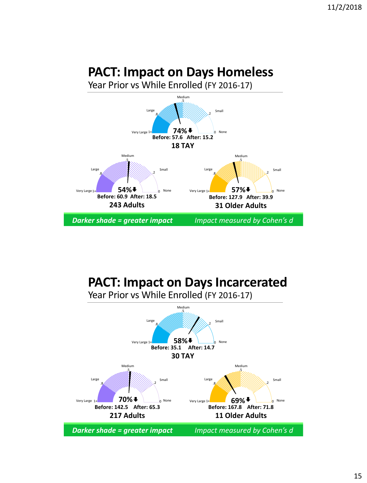#### **PACT: Impact on Days Homeless**



# **PACT: Impact on Days Incarcerated**



Year Prior vs While Enrolled (FY 2016-17)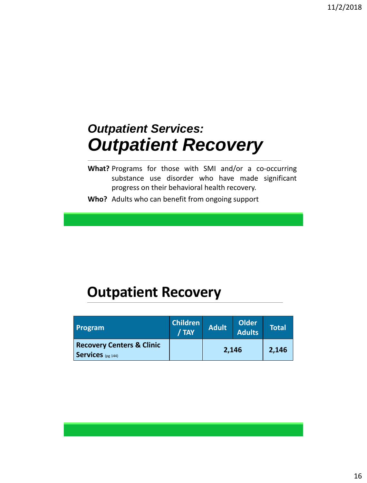# *Outpatient Services: Outpatient Recovery*

- **What?** Programs for those with SMI and/or a co-occurring substance use disorder who have made significant progress on their behavioral health recovery.
- **Who?** Adults who can benefit from ongoing support

#### **Outpatient Recovery**

| <b>Program</b>                                            | <b>Children</b><br>/ TAY | <b>Adult</b> | <b>Older</b><br><b>Adults</b> | <b>Total</b> |
|-----------------------------------------------------------|--------------------------|--------------|-------------------------------|--------------|
| <b>Recovery Centers &amp; Clinic</b><br>Services (pg 144) |                          | 2,146        |                               | 2,146        |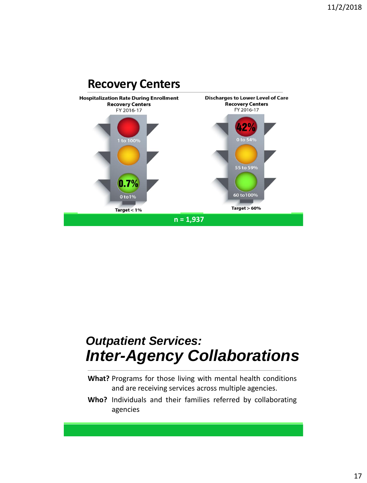

#### *Outpatient Services: Inter-Agency Collaborations*

- **What?** Programs for those living with mental health conditions and are receiving services across multiple agencies.
- **Who?** Individuals and their families referred by collaborating agencies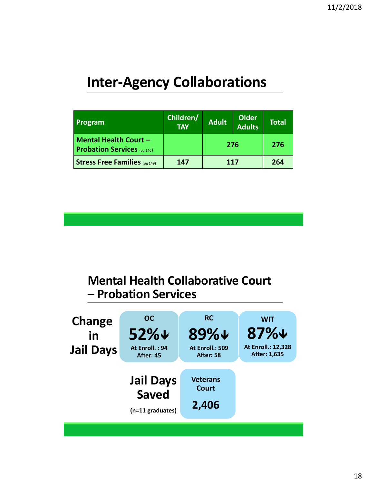#### **Inter-Agency Collaborations**

| Program                                                            | Children/<br><b>TAY</b> | <b>Adult</b> | <b>Older</b><br><b>Adults</b> | <b>Total</b> |
|--------------------------------------------------------------------|-------------------------|--------------|-------------------------------|--------------|
| <b>Mental Health Court -</b><br><b>Probation Services</b> (pg 146) |                         | 276          |                               | 276          |
| <b>Stress Free Families</b> (pg 149)                               | 147                     | 117          |                               | 264          |

#### **Mental Health Collaborative Court – Probation Services**

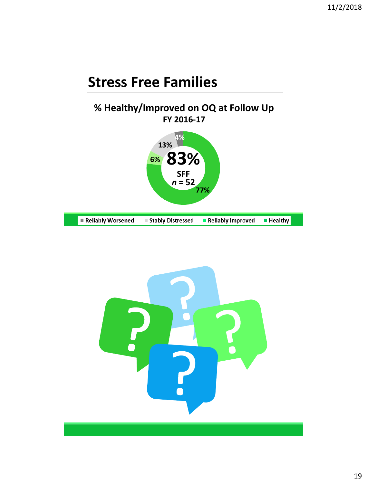#### **Stress Free Families**

#### **% Healthy/Improved on OQ at Follow Up FY 2016-17**



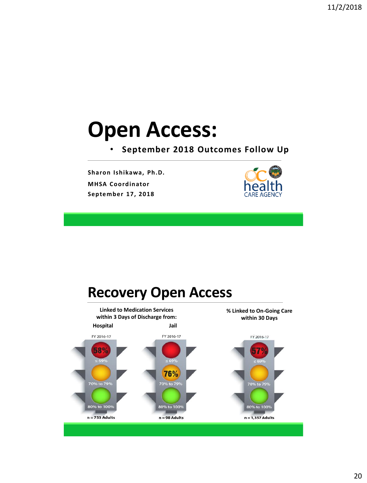# **Open Access:**

• **September 2018 Outcomes Follow Up**

**Sharon Ishikawa, Ph.D. MHSA Coordinator September 17, 2018**



#### **Recovery Open Access**

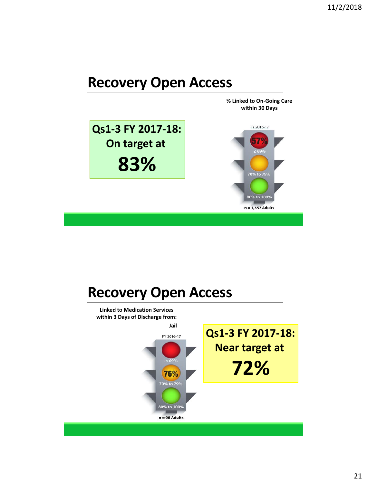#### **Recovery Open Access**



#### **Recovery Open Access**